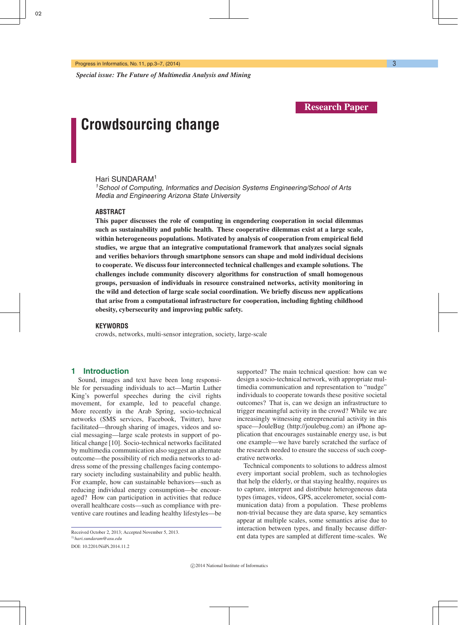*Special issue: The Future of Multimedia Analysis and Mining*

**Research Paper**

# **Crowdsourcing change**

## Hari SUNDARAM1

<sup>1</sup> School of Computing, Informatics and Decision Systems Engineering/School of Arts Media and Engineering Arizona State University

### **ABSTRACT**

**This paper discusses the role of computing in engendering cooperation in social dilemmas such as sustainability and public health. These cooperative dilemmas exist at a large scale, within heterogeneous populations. Motivated by analysis of cooperation from empirical field studies, we argue that an integrative computational framework that analyzes social signals and verifies behaviors through smartphone sensors can shape and mold individual decisions to cooperate. We discuss four interconnected technical challenges and example solutions. The challenges include community discovery algorithms for construction of small homogenous groups, persuasion of individuals in resource constrained networks, activity monitoring in the wild and detection of large scale social coordination. We briefly discuss new applications that arise from a computational infrastructure for cooperation, including fighting childhood obesity, cybersecurity and improving public safety.**

#### **KEYWORDS**

crowds, networks, multi-sensor integration, society, large-scale

## **1 Introduction**

Sound, images and text have been long responsible for persuading individuals to act—Martin Luther King's powerful speeches during the civil rights movement, for example, led to peaceful change. More recently in the Arab Spring, socio-technical networks (SMS services, Facebook, Twitter), have facilitated—through sharing of images, videos and social messaging—large scale protests in support of political change [10]. Socio-technical networks facilitated by multimedia communication also suggest an alternate outcome—the possibility of rich media networks to address some of the pressing challenges facing contemporary society including sustainability and public health. For example, how can sustainable behaviors—such as reducing individual energy consumption—be encouraged? How can participation in activities that reduce overall healthcare costs—such as compliance with preventive care routines and leading healthy lifestyles—be

1)*hari.sundaram@asu.edu* DOI: 10.2201/NiiPi.2014.11.2

supported? The main technical question: how can we design a socio-technical network, with appropriate multimedia communication and representation to "nudge" individuals to cooperate towards these positive societal outcomes? That is, can we design an infrastructure to trigger meaningful activity in the crowd? While we are increasingly witnessing entrepreneurial activity in this space—JouleBug (http://joulebug.com) an iPhone application that encourages sustainable energy use, is but one example—we have barely scratched the surface of the research needed to ensure the success of such cooperative networks.

Technical components to solutions to address almost every important social problem, such as technologies that help the elderly, or that staying healthy, requires us to capture, interpret and distribute heterogeneous data types (images, videos, GPS, accelerometer, social communication data) from a population. These problems non-trivial because they are data sparse, key semantics appear at multiple scales, some semantics arise due to interaction between types, and finally because different data types are sampled at different time-scales. We

Received October 2, 2013; Accepted November 5, 2013.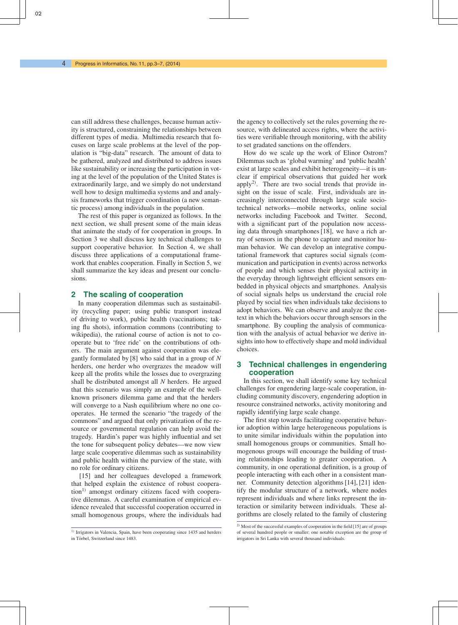can still address these challenges, because human activity is structured, constraining the relationships between different types of media. Multimedia research that focuses on large scale problems at the level of the population is "big-data" research. The amount of data to be gathered, analyzed and distributed to address issues like sustainability or increasing the participation in voting at the level of the population of the United States is extraordinarily large, and we simply do not understand well how to design multimedia systems and and analysis frameworks that trigger coordination (a new semantic process) among individuals in the population.

The rest of this paper is organized as follows. In the next section, we shall present some of the main ideas that animate the study of for cooperation in groups. In Section 3 we shall discuss key technical challenges to support cooperative behavior. In Section 4, we shall discuss three applications of a computational framework that enables cooperation. Finally in Section 5, we shall summarize the key ideas and present our conclusions.

## **2 The scaling of cooperation**

In many cooperation dilemmas such as sustainability (recycling paper; using public transport instead of driving to work), public health (vaccinations; taking flu shots), information commons (contributing to wikipedia), the rational course of action is not to cooperate but to 'free ride' on the contributions of others. The main argument against cooperation was elegantly formulated by [8] who said that in a group of *N* herders, one herder who overgrazes the meadow will keep all the profits while the losses due to overgrazing shall be distributed amongst all *N* herders. He argued that this scenario was simply an example of the wellknown prisoners dilemma game and that the herders will converge to a Nash equilibrium where no one cooperates. He termed the scenario "the tragedy of the commons" and argued that only privatization of the resource or governmental regulation can help avoid the tragedy. Hardin's paper was highly influential and set the tone for subsequent policy debates—we now view large scale cooperative dilemmas such as sustainability and public health within the purview of the state, with no role for ordinary citizens.

[15] and her colleagues developed a framework that helped explain the existence of robust cooperation<sup>1)</sup> amongst ordinary citizens faced with cooperative dilemmas. A careful examination of empirical evidence revealed that successful cooperation occurred in small homogenous groups, where the individuals had the agency to collectively set the rules governing the resource, with delineated access rights, where the activities were verifiable through monitoring, with the ability to set gradated sanctions on the offenders.

How do we scale up the work of Elinor Ostrom? Dilemmas such as 'global warming' and 'public health' exist at large scales and exhibit heterogeneity—it is unclear if empirical observations that guided her work apply<sup>2)</sup>. There are two social trends that provide insight on the issue of scale. First, individuals are increasingly interconnected through large scale sociotechnical networks—mobile networks, online social networks including Facebook and Twitter. Second, with a significant part of the population now accessing data through smartphones [18], we have a rich array of sensors in the phone to capture and monitor human behavior. We can develop an integrative computational framework that captures social signals (communication and participation in events) across networks of people and which senses their physical activity in the everyday through lightweight efficient sensors embedded in physical objects and smartphones. Analysis of social signals helps us understand the crucial role played by social ties when individuals take decisions to adopt behaviors. We can observe and analyze the context in which the behaviors occur through sensors in the smartphone. By coupling the analysis of communication with the analysis of actual behavior we derive insights into how to effectively shape and mold individual choices.

## **3 Technical challenges in engendering cooperation**

In this section, we shall identify some key technical challenges for engendering large-scale cooperation, including community discovery, engendering adoption in resource constrained networks, activity monitoring and rapidly identifying large scale change.

The first step towards facilitating cooperative behavior adoption within large heterogeneous populations is to unite similar individuals within the population into small homogenous groups or communities. Small homogenous groups will encourage the building of trusting relationships leading to greater cooperation. A community, in one operational definition, is a group of people interacting with each other in a consistent manner. Community detection algorithms [14], [21] identify the modular structure of a network, where nodes represent individuals and where links represent the interaction or similarity between individuals. These algorithms are closely related to the family of clustering

<sup>&</sup>lt;sup>1)</sup> Irrigators in Valencia, Spain, have been cooperating since 1435 and herders in Törbel, Switzerland since 1483

<sup>2)</sup> Most of the successful examples of cooperation in the field [15] are of groups of several hundred people or smaller; one notable exception are the group of irrigators in Sri Lanka with several thousand individuals.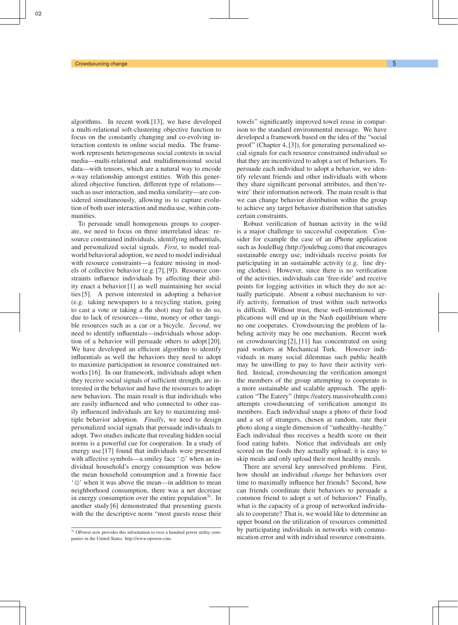algorithms. In recent work [13], we have developed a multi-relational soft-clustering objective function to focus on the constantly changing and co-evolving interaction contexts in online social media. The framework represents heterogeneous social contexts in social media—multi-relational and multidimensional social data—with tensors, which are a natural way to encode *n*-way relationship amongst entities. With this generalized objective function, different type of relations such as user interaction, and media similarity—are considered simultaneously, allowing us to capture evolution of both user interaction and media use, within communities.

To persuade small homogenous groups to cooperate, we need to focus on three interrelated ideas: resource constrained individuals, identifying influentials, and personalized social signals. *First*, to model realworld behavioral adoption, we need to model individual with resource constraints—a feature missing in models of collective behavior (e.g. [7], [9]). Resource constraints influence individuals by affecting their ability enact a behavior [1] as well maintaining her social ties [5]. A person interested in adopting a behavior (e.g. taking newspapers to a recycling station, going to cast a vote or taking a flu shot) may fail to do so, due to lack of resources—time, money or other tangible resources such as a car or a bicycle. *Second*, we need to identify influentials—individuals whose adoption of a behavior will persuade others to adopt [20]. We have developed an efficient algorithm to identify influentials as well the behaviors they need to adopt to maximize participation in resource constrained networks [16]. In our framework, individuals adopt when they receive social signals of sufficient strength, are interested in the behavior and have the resources to adopt new behaviors. The main result is that individuals who are easily influenced and who connected to other easily influenced individuals are key to maximizing multiple behavior adoption. *Finally*, we need to design personalized social signals that persuade individuals to adopt. Two studies indicate that revealing hidden social norms is a powerful cue for cooperation. In a study of energy use [17] found that individuals were presented with affective symbols—a smiley face  $\degree$   $\circ$  when an individual household's energy consumption was below the mean household consumption and a frownie face  $\hat{C}$  when it was above the mean—in addition to mean neighborhood consumption, there was a net decrease in energy consumption over the entire population<sup>3)</sup>. In another study [6] demonstrated that presenting guests with the the descriptive norm "most guests reuse their

towels" significantly improved towel reuse in comparison to the standard environmental message. We have developed a framework based on the idea of the "social proof" (Chapter 4, [3]), for generating personalized social signals for each resource constrained individual so that they are incentivized to adopt a set of behaviors. To persuade each individual to adopt a behavior, we identify relevant friends and other individuals with whom they share significant personal attributes, and then'rewire' their information network. The main result is that we can change behavior distribution within the group to achieve any target behavior distribution that satisfies certain constraints.

Robust verification of human activity in the wild is a major challenge to successful cooperation. Consider for example the case of an iPhone application such as JouleBug (http://joulebug.com) that encourages sustainable energy use; individuals receive points for participating in an sustainable activity (e.g. line drying clothes). However, since there is no verification of the activities, individuals can 'free-ride' and receive points for logging activities in which they do not actually participate. Absent a robust mechanism to verify activity, formation of trust within such networks is difficult. Without trust, these well-intentioned applications will end up in the Nash equilibrium where no one cooperates. Crowdsourcing the problem of labeling activity may be one mechanism. Recent work on crowdsourcing [2], [11] has concentrated on using paid workers at Mechanical Turk. However individuals in many social dilemmas such public health may be unwilling to pay to have their activity verified. Instead, crowdsourcing the verification amongst the members of the group attempting to cooperate is a more sustainable and scalable approach. The application "The Eatery" (https://eatery.massivehealth.com) attempts crowdsourcing of verification amongst its members. Each individual snaps a photo of their food and a set of strangers, chosen at random, rate their photo along a single dimension of "unhealthy–healthy." Each individual thus receives a health score on their food eating habits. Notice that individuals are only scored on the foods they actually upload; it is easy to skip meals and only upload their most healthy meals.

There are several key unresolved problems. First, how should an individual *change* her behaviors over time to maximally influence her friends? Second, how can friends coordinate their behaviors to persuade a common friend to adopt a set of behaviors? Finally, what is the capacity of a group of networked individuals to cooperate? That is, we would like to determine an upper bound on the utilization of resources committed by participating individuals in networks with communication error and with individual resource constraints.

<sup>3)</sup> OPower now provides this information to over a hundred power utility companies in the United States. http://www.opower.com.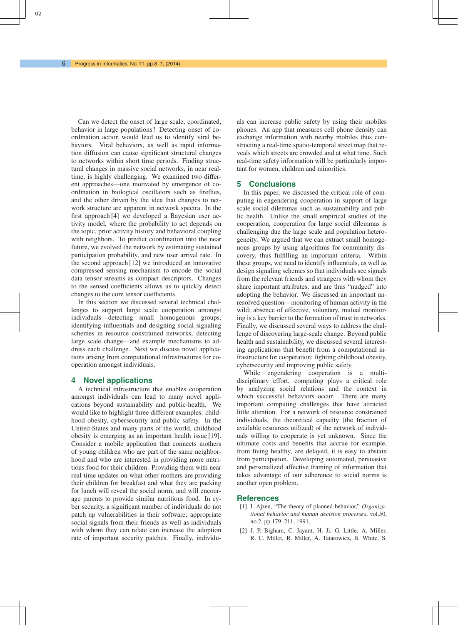Can we detect the onset of large scale, coordinated, behavior in large populations? Detecting onset of coordination action would lead us to identify viral behaviors. Viral behaviors, as well as rapid information diffusion can cause significant structural changes to networks within short time periods. Finding structural changes in massive social networks, in near realtime, is highly challenging. We examined two different approaches—one motivated by emergence of coordination in biological oscillators such as fireflies, and the other driven by the idea that changes to network structure are apparent in network spectra. In the first approach [4] we developed a Bayesian user activity model, where the probability to act depends on the topic, prior activity history and behavioral coupling with neighbors. To predict coordination into the near future, we evolved the network by estimating sustained participation probability, and new user arrival rate. In the second approach [12] we introduced an innovative compressed sensing mechanism to encode the social data tensor streams as compact descriptors. Changes to the sensed coefficients allows us to quickly detect changes to the core tensor coefficients.

In this section we discussed several technical challenges to support large scale cooperation amongst individuals—detecting small homogenous groups, identifying influentials and designing social signaling schemes in resource constrained networks, detecting large scale change—and example mechanisms to address each challenge. Next we discuss novel applications arising from computational infrastructures for cooperation amongst individuals.

## **4 Novel applications**

A technical infrastructure that enables cooperation amongst individuals can lead to many novel applications beyond sustainability and public-health. We would like to highlight three different examples: childhood obesity, cybersecurity and public safety. In the United States and many parts of the world, childhood obesity is emerging as an important health issue [19]. Consider a mobile application that connects mothers of young children who are part of the same neighborhood and who are interested in providing more nutritious food for their children. Providing them with near real-time updates on what other mothers are providing their children for breakfast and what they are packing for lunch will reveal the social norm, and will encourage parents to provide similar nutritious food. In cyber security, a significant number of individuals do not patch up vulnerabilities in their software; appropriate social signals from their friends as well as individuals with whom they can relate can increase the adoption rate of important security patches. Finally, individuals can increase public safety by using their mobiles phones. An app that measures cell phone density can exchange information with nearby mobiles thus constructing a real-time spatio-temporal street map that reveals which streets are crowded and at what time. Such real-time safety information will be particularly important for women, children and minorities.

## **5 Conclusions**

In this paper, we discussed the critical role of computing in engendering cooperation in support of large scale social dilemmas such as sustainability and public health. Unlike the small empirical studies of the cooperation, cooperation for large social dilemmas is challenging due the large scale and population heterogeneity. We argued that we can extract small homogenous groups by using algorithms for community discovery, thus fulfilling an important criteria. Within these groups, we need to identify influentials, as well as design signaling schemes so that individuals see signals from the relevant friends and strangers with whom they share important attributes, and are thus "nudged" into adopting the behavior. We discussed an important unresolved question—monitoring of human activity in the wild; absence of effective, voluntary, mutual monitoring is a key barrier to the formation of trust in networks. Finally, we discussed several ways to address the challenge of discovering large-scale change. Beyond public health and sustainability, we discussed several interesting applications that benefit from a computational infrastructure for cooperation: fighting childhood obesity, cybersecurity and improving public safety.

While engendering cooperation is a multidisciplinary effort, computing plays a critical role by analyzing social relations and the context in which successful behaviors occur. There are many important computing challenges that have attracted little attention. For a network of resource constrained individuals, the theoretical capacity (the fraction of available resources utilized) of the network of individuals willing to cooperate is yet unknown. Since the ultimate costs and benefits that accrue for example, from living healthy, are delayed, it is easy to abstain from participation. Developing automated, persuasive and personalized affective framing of information that takes advantage of our adherence to social norms is another open problem.

## **References**

- [1] I. Ajzen, "The theory of planned behavior," *Organizational behavior and human decision processes*, vol.50, no.2, pp.179–211, 1991.
- [2] J. P. Bigham, C. Jayant, H. Ji, G. Little, A. Miller, R. C. Miller, R. Miller, A. Tatarowicz, B. White, S.